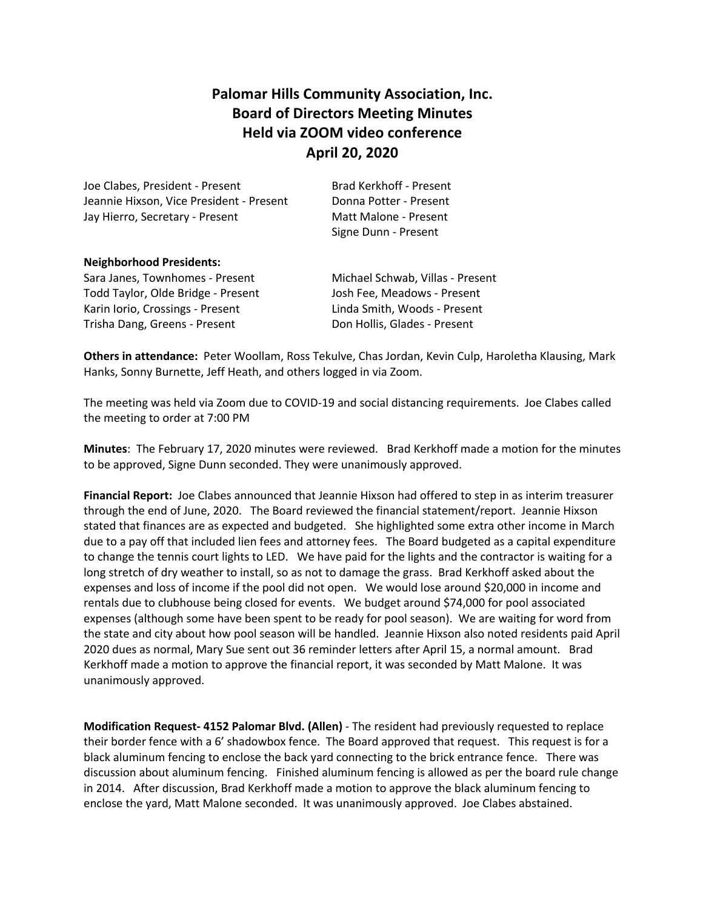# **Palomar Hills Community Association, Inc. Board of Directors Meeting Minutes Held via ZOOM video conference April 20, 2020**

Joe Clabes, President - Present Brad Kerkhoff - Present Jeannie Hixson, Vice President - Present Donna Potter - Present Jay Hierro, Secretary - Present Matt Malone - Present

Signe Dunn - Present

### **Neighborhood Presidents:**

Sara Janes, Townhomes - Present Michael Schwab, Villas - Present Todd Taylor, Olde Bridge - Present Josh Fee, Meadows - Present Karin Iorio, Crossings - Present Linda Smith, Woods - Present Trisha Dang, Greens - Present Don Hollis, Glades - Present

**Others in attendance:** Peter Woollam, Ross Tekulve, Chas Jordan, Kevin Culp, Haroletha Klausing, Mark Hanks, Sonny Burnette, Jeff Heath, and others logged in via Zoom.

The meeting was held via Zoom due to COVID-19 and social distancing requirements. Joe Clabes called the meeting to order at 7:00 PM

**Minutes**: The February 17, 2020 minutes were reviewed. Brad Kerkhoff made a motion for the minutes to be approved, Signe Dunn seconded. They were unanimously approved.

**Financial Report:** Joe Clabes announced that Jeannie Hixson had offered to step in as interim treasurer through the end of June, 2020. The Board reviewed the financial statement/report. Jeannie Hixson stated that finances are as expected and budgeted. She highlighted some extra other income in March due to a pay off that included lien fees and attorney fees. The Board budgeted as a capital expenditure to change the tennis court lights to LED. We have paid for the lights and the contractor is waiting for a long stretch of dry weather to install, so as not to damage the grass. Brad Kerkhoff asked about the expenses and loss of income if the pool did not open. We would lose around \$20,000 in income and rentals due to clubhouse being closed for events. We budget around \$74,000 for pool associated expenses (although some have been spent to be ready for pool season). We are waiting for word from the state and city about how pool season will be handled. Jeannie Hixson also noted residents paid April 2020 dues as normal, Mary Sue sent out 36 reminder letters after April 15, a normal amount. Brad Kerkhoff made a motion to approve the financial report, it was seconded by Matt Malone. It was unanimously approved.

**Modification Request- 4152 Palomar Blvd. (Allen)** - The resident had previously requested to replace their border fence with a 6' shadowbox fence. The Board approved that request. This request is for a black aluminum fencing to enclose the back yard connecting to the brick entrance fence. There was discussion about aluminum fencing. Finished aluminum fencing is allowed as per the board rule change in 2014. After discussion, Brad Kerkhoff made a motion to approve the black aluminum fencing to enclose the yard, Matt Malone seconded. It was unanimously approved. Joe Clabes abstained.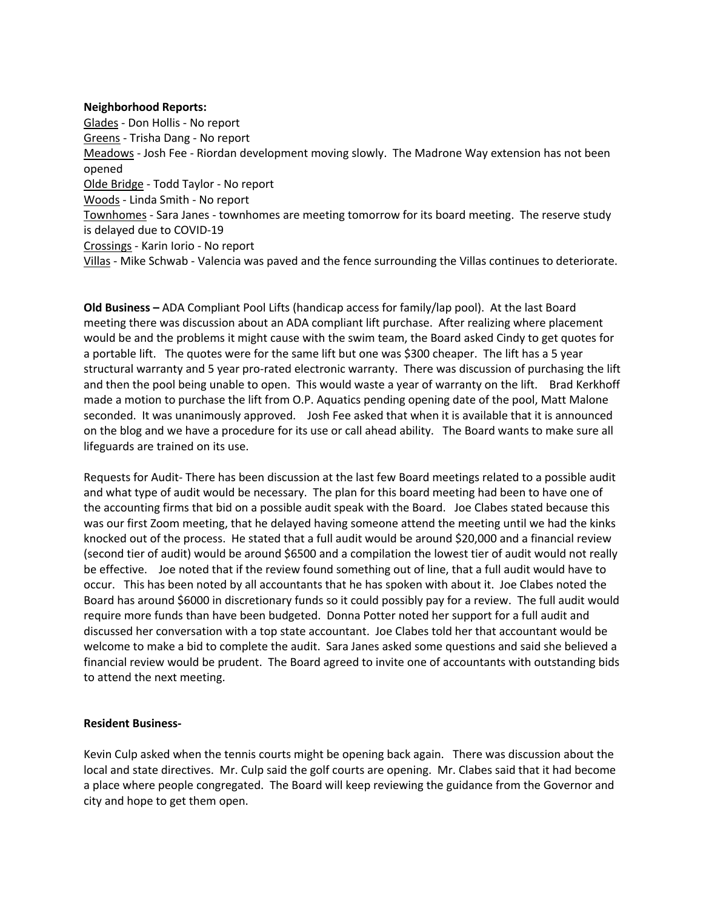### **Neighborhood Reports:**

Glades - Don Hollis - No report Greens - Trisha Dang - No report Meadows - Josh Fee - Riordan development moving slowly. The Madrone Way extension has not been opened Olde Bridge - Todd Taylor - No report Woods - Linda Smith - No report Townhomes - Sara Janes - townhomes are meeting tomorrow for its board meeting. The reserve study is delayed due to COVID-19 Crossings - Karin Iorio - No report Villas - Mike Schwab - Valencia was paved and the fence surrounding the Villas continues to deteriorate.

**Old Business –** ADA Compliant Pool Lifts (handicap access for family/lap pool). At the last Board meeting there was discussion about an ADA compliant lift purchase. After realizing where placement would be and the problems it might cause with the swim team, the Board asked Cindy to get quotes for a portable lift. The quotes were for the same lift but one was \$300 cheaper. The lift has a 5 year structural warranty and 5 year pro-rated electronic warranty. There was discussion of purchasing the lift and then the pool being unable to open. This would waste a year of warranty on the lift. Brad Kerkhoff made a motion to purchase the lift from O.P. Aquatics pending opening date of the pool, Matt Malone seconded. It was unanimously approved. Josh Fee asked that when it is available that it is announced on the blog and we have a procedure for its use or call ahead ability. The Board wants to make sure all lifeguards are trained on its use.

Requests for Audit- There has been discussion at the last few Board meetings related to a possible audit and what type of audit would be necessary. The plan for this board meeting had been to have one of the accounting firms that bid on a possible audit speak with the Board. Joe Clabes stated because this was our first Zoom meeting, that he delayed having someone attend the meeting until we had the kinks knocked out of the process. He stated that a full audit would be around \$20,000 and a financial review (second tier of audit) would be around \$6500 and a compilation the lowest tier of audit would not really be effective. Joe noted that if the review found something out of line, that a full audit would have to occur. This has been noted by all accountants that he has spoken with about it. Joe Clabes noted the Board has around \$6000 in discretionary funds so it could possibly pay for a review. The full audit would require more funds than have been budgeted. Donna Potter noted her support for a full audit and discussed her conversation with a top state accountant. Joe Clabes told her that accountant would be welcome to make a bid to complete the audit. Sara Janes asked some questions and said she believed a financial review would be prudent. The Board agreed to invite one of accountants with outstanding bids to attend the next meeting.

## **Resident Business-**

Kevin Culp asked when the tennis courts might be opening back again. There was discussion about the local and state directives. Mr. Culp said the golf courts are opening. Mr. Clabes said that it had become a place where people congregated. The Board will keep reviewing the guidance from the Governor and city and hope to get them open.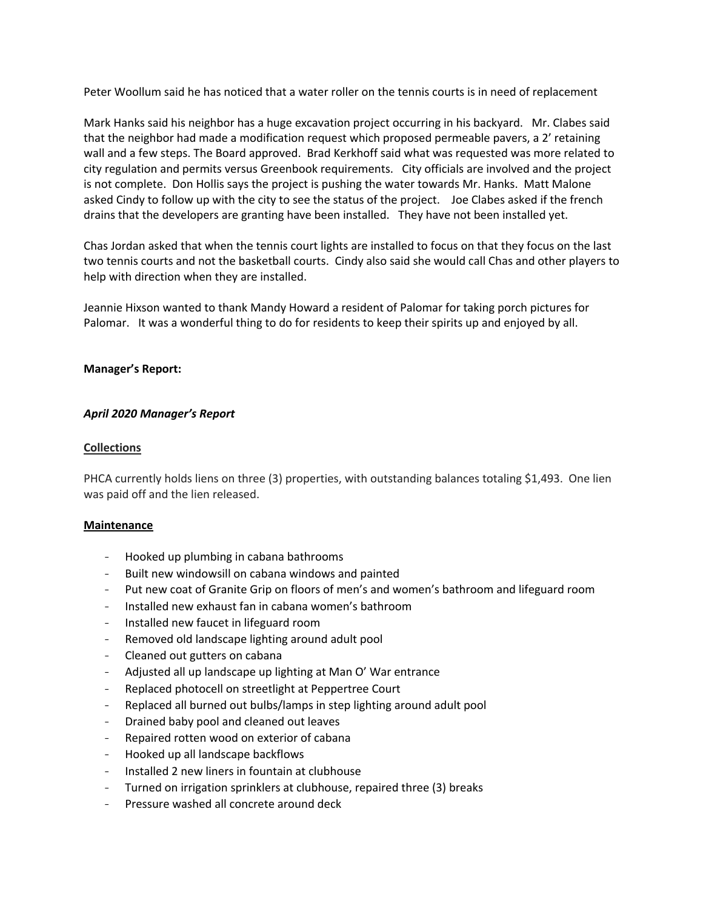Peter Woollum said he has noticed that a water roller on the tennis courts is in need of replacement

Mark Hanks said his neighbor has a huge excavation project occurring in his backyard. Mr. Clabes said that the neighbor had made a modification request which proposed permeable pavers, a 2' retaining wall and a few steps. The Board approved. Brad Kerkhoff said what was requested was more related to city regulation and permits versus Greenbook requirements. City officials are involved and the project is not complete. Don Hollis says the project is pushing the water towards Mr. Hanks. Matt Malone asked Cindy to follow up with the city to see the status of the project. Joe Clabes asked if the french drains that the developers are granting have been installed. They have not been installed yet.

Chas Jordan asked that when the tennis court lights are installed to focus on that they focus on the last two tennis courts and not the basketball courts. Cindy also said she would call Chas and other players to help with direction when they are installed.

Jeannie Hixson wanted to thank Mandy Howard a resident of Palomar for taking porch pictures for Palomar. It was a wonderful thing to do for residents to keep their spirits up and enjoyed by all.

### **Manager's Report:**

## *April 2020 Manager's Report*

### **Collections**

PHCA currently holds liens on three (3) properties, with outstanding balances totaling \$1,493. One lien was paid off and the lien released.

#### **Maintenance**

- Hooked up plumbing in cabana bathrooms
- Built new windowsill on cabana windows and painted
- Put new coat of Granite Grip on floors of men's and women's bathroom and lifeguard room
- Installed new exhaust fan in cabana women's bathroom
- Installed new faucet in lifeguard room
- Removed old landscape lighting around adult pool
- Cleaned out gutters on cabana
- Adjusted all up landscape up lighting at Man O' War entrance
- Replaced photocell on streetlight at Peppertree Court
- Replaced all burned out bulbs/lamps in step lighting around adult pool
- Drained baby pool and cleaned out leaves
- Repaired rotten wood on exterior of cabana
- Hooked up all landscape backflows
- Installed 2 new liners in fountain at clubhouse
- Turned on irrigation sprinklers at clubhouse, repaired three (3) breaks
- Pressure washed all concrete around deck